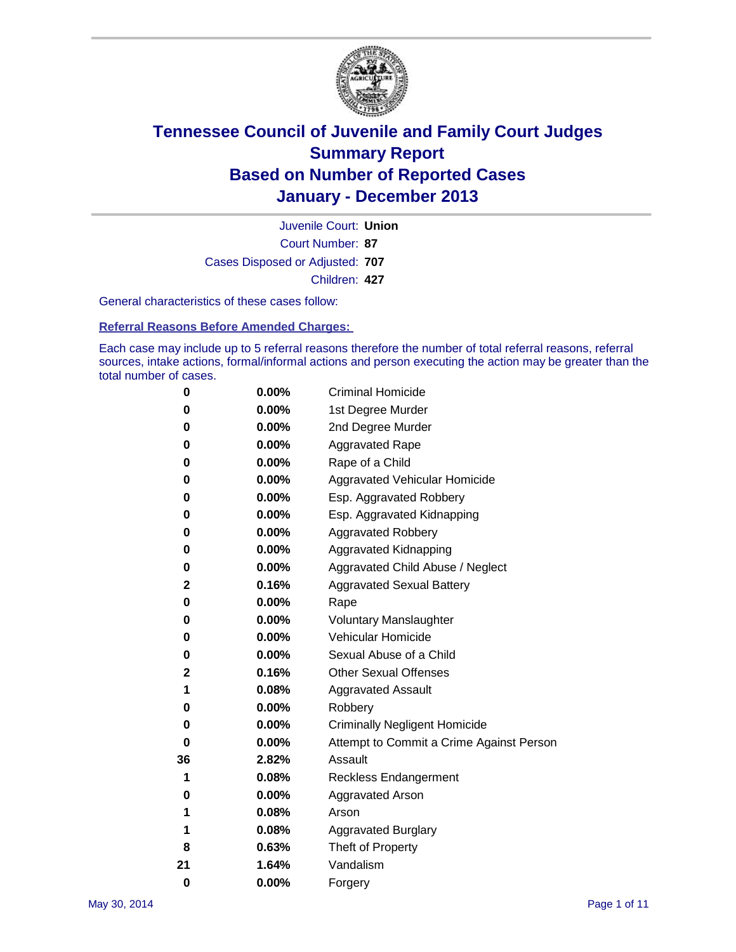

Court Number: **87** Juvenile Court: **Union** Cases Disposed or Adjusted: **707** Children: **427**

General characteristics of these cases follow:

**Referral Reasons Before Amended Charges:** 

Each case may include up to 5 referral reasons therefore the number of total referral reasons, referral sources, intake actions, formal/informal actions and person executing the action may be greater than the total number of cases.

| 0        | $0.00\%$ | <b>Criminal Homicide</b>                 |
|----------|----------|------------------------------------------|
| 0        | 0.00%    | 1st Degree Murder                        |
| 0        | 0.00%    | 2nd Degree Murder                        |
| 0        | $0.00\%$ | <b>Aggravated Rape</b>                   |
| 0        | 0.00%    | Rape of a Child                          |
| 0        | 0.00%    | <b>Aggravated Vehicular Homicide</b>     |
| 0        | 0.00%    | Esp. Aggravated Robbery                  |
| 0        | 0.00%    | Esp. Aggravated Kidnapping               |
| 0        | $0.00\%$ | <b>Aggravated Robbery</b>                |
| 0        | 0.00%    | Aggravated Kidnapping                    |
| 0        | 0.00%    | Aggravated Child Abuse / Neglect         |
| 2        | 0.16%    | <b>Aggravated Sexual Battery</b>         |
| 0        | 0.00%    | Rape                                     |
| 0        | 0.00%    | <b>Voluntary Manslaughter</b>            |
| 0        | 0.00%    | Vehicular Homicide                       |
| 0        | 0.00%    | Sexual Abuse of a Child                  |
| 2        | 0.16%    | <b>Other Sexual Offenses</b>             |
| 1        | 0.08%    | <b>Aggravated Assault</b>                |
| 0        | 0.00%    | Robbery                                  |
| 0        | $0.00\%$ | <b>Criminally Negligent Homicide</b>     |
| 0        | 0.00%    | Attempt to Commit a Crime Against Person |
| 36       | 2.82%    | Assault                                  |
| 1        | 0.08%    | <b>Reckless Endangerment</b>             |
| 0        | 0.00%    | <b>Aggravated Arson</b>                  |
| 1        | 0.08%    | Arson                                    |
| 1        | 0.08%    | <b>Aggravated Burglary</b>               |
| 8        | 0.63%    | Theft of Property                        |
| 21       | 1.64%    | Vandalism                                |
| $\bf{0}$ | 0.00%    | Forgery                                  |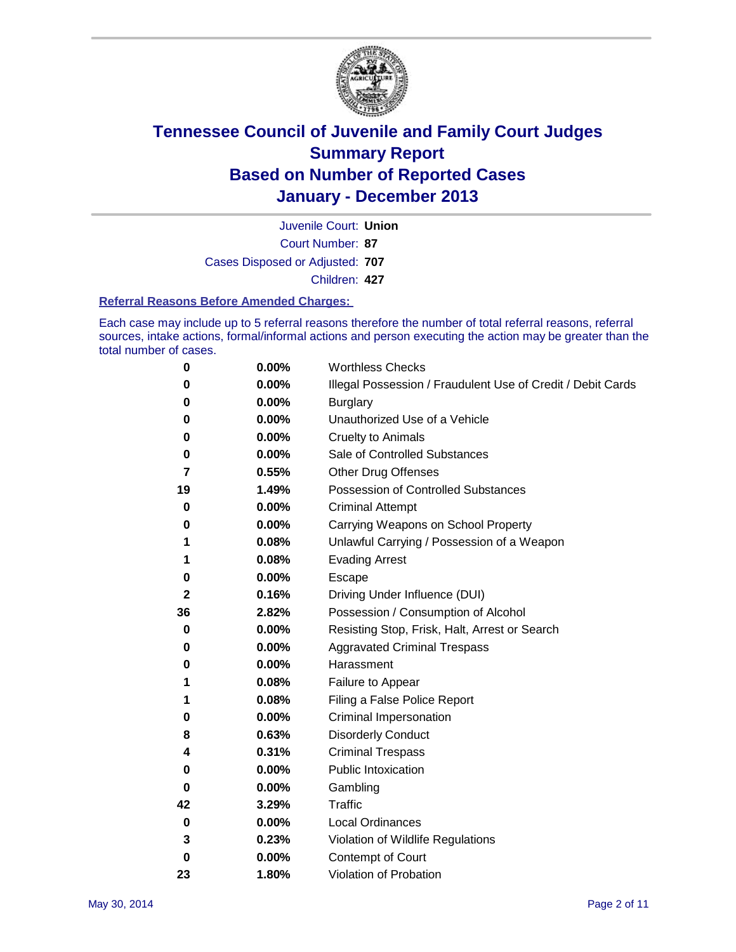

Court Number: **87** Juvenile Court: **Union** Cases Disposed or Adjusted: **707** Children: **427**

#### **Referral Reasons Before Amended Charges:**

Each case may include up to 5 referral reasons therefore the number of total referral reasons, referral sources, intake actions, formal/informal actions and person executing the action may be greater than the total number of cases.

| 0  | 0.00% | <b>Worthless Checks</b>                                     |
|----|-------|-------------------------------------------------------------|
| 0  | 0.00% | Illegal Possession / Fraudulent Use of Credit / Debit Cards |
| 0  | 0.00% | <b>Burglary</b>                                             |
| 0  | 0.00% | Unauthorized Use of a Vehicle                               |
| 0  | 0.00% | <b>Cruelty to Animals</b>                                   |
| 0  | 0.00% | Sale of Controlled Substances                               |
| 7  | 0.55% | <b>Other Drug Offenses</b>                                  |
| 19 | 1.49% | Possession of Controlled Substances                         |
| 0  | 0.00% | <b>Criminal Attempt</b>                                     |
| 0  | 0.00% | Carrying Weapons on School Property                         |
| 1  | 0.08% | Unlawful Carrying / Possession of a Weapon                  |
| 1  | 0.08% | <b>Evading Arrest</b>                                       |
| 0  | 0.00% | Escape                                                      |
| 2  | 0.16% | Driving Under Influence (DUI)                               |
| 36 | 2.82% | Possession / Consumption of Alcohol                         |
| 0  | 0.00% | Resisting Stop, Frisk, Halt, Arrest or Search               |
| 0  | 0.00% | <b>Aggravated Criminal Trespass</b>                         |
| 0  | 0.00% | Harassment                                                  |
| 1  | 0.08% | Failure to Appear                                           |
| 1  | 0.08% | Filing a False Police Report                                |
| 0  | 0.00% | Criminal Impersonation                                      |
| 8  | 0.63% | <b>Disorderly Conduct</b>                                   |
| 4  | 0.31% | <b>Criminal Trespass</b>                                    |
| 0  | 0.00% | <b>Public Intoxication</b>                                  |
| 0  | 0.00% | Gambling                                                    |
| 42 | 3.29% | Traffic                                                     |
| 0  | 0.00% | <b>Local Ordinances</b>                                     |
| 3  | 0.23% | Violation of Wildlife Regulations                           |
| 0  | 0.00% | Contempt of Court                                           |
| 23 | 1.80% | Violation of Probation                                      |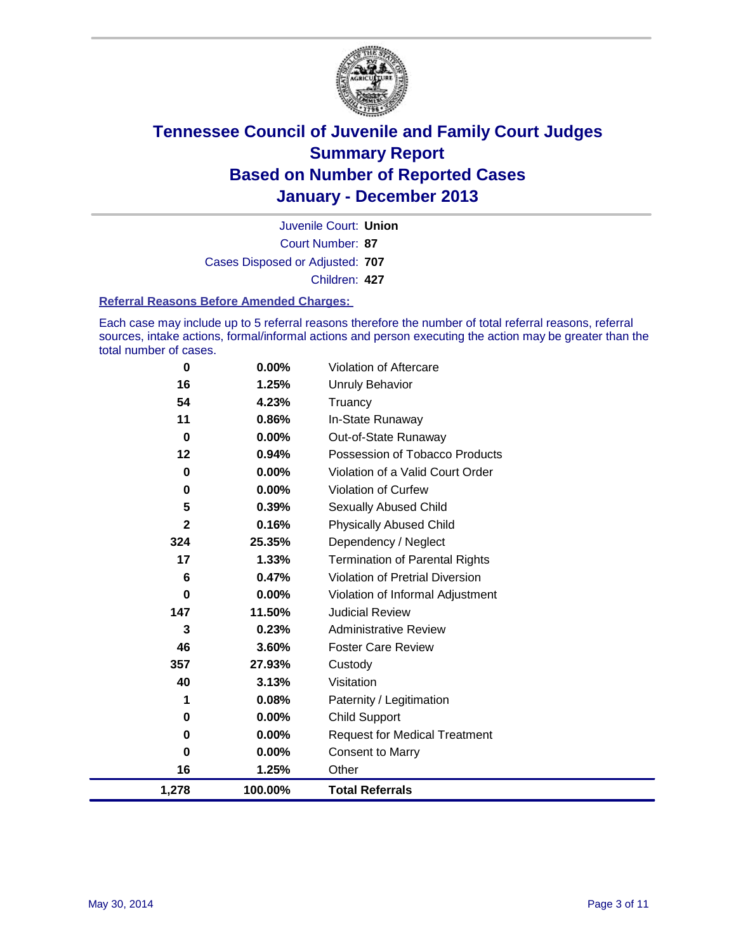

Court Number: **87** Juvenile Court: **Union** Cases Disposed or Adjusted: **707** Children: **427**

#### **Referral Reasons Before Amended Charges:**

Each case may include up to 5 referral reasons therefore the number of total referral reasons, referral sources, intake actions, formal/informal actions and person executing the action may be greater than the total number of cases.

| $\mathbf 0$             | 0.00%   | Violation of Aftercare                 |  |
|-------------------------|---------|----------------------------------------|--|
| 16                      | 1.25%   | <b>Unruly Behavior</b>                 |  |
| 54                      | 4.23%   | Truancy                                |  |
| 11                      | 0.86%   | In-State Runaway                       |  |
| $\bf{0}$                | 0.00%   | Out-of-State Runaway                   |  |
| 12                      | 0.94%   | Possession of Tobacco Products         |  |
| 0                       | 0.00%   | Violation of a Valid Court Order       |  |
| 0                       | 0.00%   | <b>Violation of Curfew</b>             |  |
| 5                       | 0.39%   | <b>Sexually Abused Child</b>           |  |
| $\overline{\mathbf{2}}$ | 0.16%   | <b>Physically Abused Child</b>         |  |
| 324                     | 25.35%  | Dependency / Neglect                   |  |
| 17                      | 1.33%   | <b>Termination of Parental Rights</b>  |  |
| 6                       | 0.47%   | <b>Violation of Pretrial Diversion</b> |  |
| 0                       | 0.00%   | Violation of Informal Adjustment       |  |
| 147                     | 11.50%  | <b>Judicial Review</b>                 |  |
| 3                       | 0.23%   | <b>Administrative Review</b>           |  |
| 46                      | 3.60%   | <b>Foster Care Review</b>              |  |
| 357                     | 27.93%  | Custody                                |  |
| 40                      | 3.13%   | Visitation                             |  |
| 1                       | 0.08%   | Paternity / Legitimation               |  |
| 0                       | 0.00%   | <b>Child Support</b>                   |  |
| 0                       | 0.00%   | <b>Request for Medical Treatment</b>   |  |
| 0                       | 0.00%   | <b>Consent to Marry</b>                |  |
| 16                      | 1.25%   | Other                                  |  |
| 1,278                   | 100.00% | <b>Total Referrals</b>                 |  |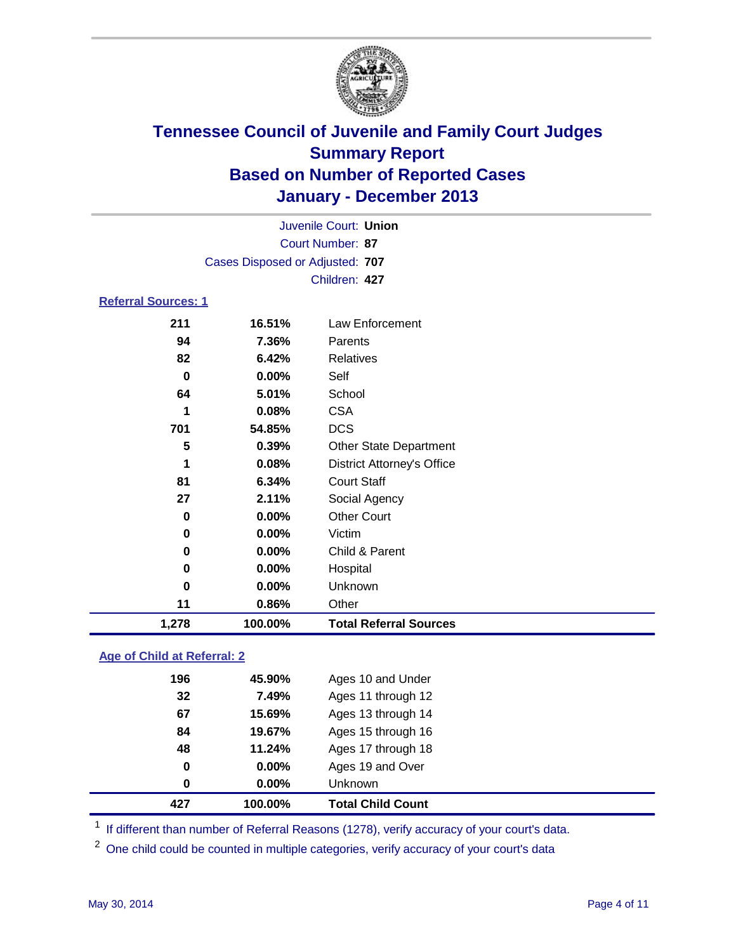

| 1,278                      | 100.00%                         | <b>Total Referral Sources</b>     |  |
|----------------------------|---------------------------------|-----------------------------------|--|
| 11                         | 0.86%                           | Other                             |  |
| 0                          | 0.00%                           | Unknown                           |  |
| 0                          | 0.00%                           | Hospital                          |  |
| 0                          | $0.00\%$                        | Child & Parent                    |  |
| 0                          | $0.00\%$                        | Victim                            |  |
| 0                          | 0.00%                           | <b>Other Court</b>                |  |
| 27                         | 2.11%                           | Social Agency                     |  |
| 81                         | 6.34%                           | <b>Court Staff</b>                |  |
| 1                          | 0.08%                           | <b>District Attorney's Office</b> |  |
| 5                          | 0.39%                           | <b>Other State Department</b>     |  |
| 701                        | 54.85%                          | <b>DCS</b>                        |  |
| 1                          | 0.08%                           | <b>CSA</b>                        |  |
| 64                         | 5.01%                           | School                            |  |
| 0                          | $0.00\%$                        | Self                              |  |
| 82<br>6.42%                |                                 | <b>Relatives</b>                  |  |
| 94                         | 7.36%                           | Parents                           |  |
| 211                        | 16.51%                          | Law Enforcement                   |  |
| <b>Referral Sources: 1</b> |                                 |                                   |  |
|                            |                                 | Children: 427                     |  |
|                            | Cases Disposed or Adjusted: 707 |                                   |  |
|                            |                                 | Court Number: 87                  |  |
|                            |                                 | Juvenile Court: Union             |  |
|                            |                                 |                                   |  |

### **Age of Child at Referral: 2**

| 0<br>0 | 0.00%<br>0.00% | Ages 19 and Over<br><b>Unknown</b> |
|--------|----------------|------------------------------------|
|        |                |                                    |
|        |                |                                    |
| 48     | 11.24%         | Ages 17 through 18                 |
| 84     | 19.67%         | Ages 15 through 16                 |
| 67     | 15.69%         | Ages 13 through 14                 |
| 32     | 7.49%          | Ages 11 through 12                 |
| 196    | 45.90%         | Ages 10 and Under                  |
|        |                |                                    |

<sup>1</sup> If different than number of Referral Reasons (1278), verify accuracy of your court's data.

<sup>2</sup> One child could be counted in multiple categories, verify accuracy of your court's data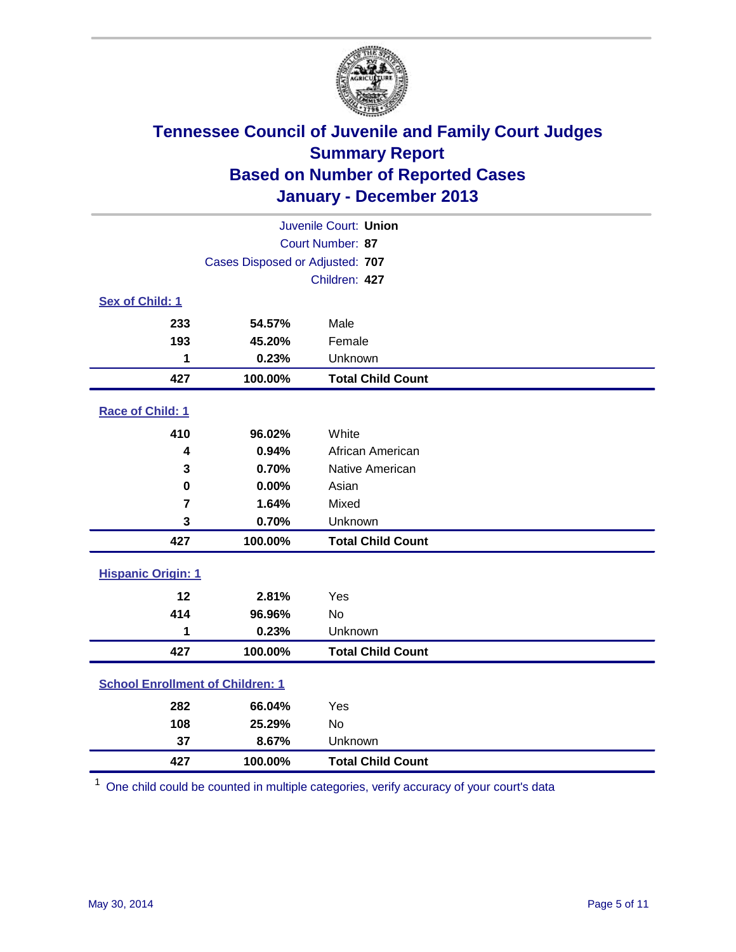

| Juvenile Court: Union                   |         |                          |  |  |
|-----------------------------------------|---------|--------------------------|--|--|
| Court Number: 87                        |         |                          |  |  |
| Cases Disposed or Adjusted: 707         |         |                          |  |  |
|                                         |         | Children: 427            |  |  |
| Sex of Child: 1                         |         |                          |  |  |
| 233                                     | 54.57%  | Male                     |  |  |
| 193                                     | 45.20%  | Female                   |  |  |
| 1                                       | 0.23%   | Unknown                  |  |  |
| 427                                     | 100.00% | <b>Total Child Count</b> |  |  |
| Race of Child: 1                        |         |                          |  |  |
| 410                                     | 96.02%  | White                    |  |  |
| 4                                       | 0.94%   | African American         |  |  |
| 3                                       | 0.70%   | Native American          |  |  |
| 0                                       | 0.00%   | Asian                    |  |  |
| $\overline{7}$                          | 1.64%   | Mixed                    |  |  |
| 3                                       | 0.70%   | Unknown                  |  |  |
| 427                                     | 100.00% | <b>Total Child Count</b> |  |  |
| <b>Hispanic Origin: 1</b>               |         |                          |  |  |
| 12                                      | 2.81%   | Yes                      |  |  |
| 414                                     | 96.96%  | <b>No</b>                |  |  |
| 1                                       | 0.23%   | Unknown                  |  |  |
| 427                                     | 100.00% | <b>Total Child Count</b> |  |  |
| <b>School Enrollment of Children: 1</b> |         |                          |  |  |
| 282                                     | 66.04%  | Yes                      |  |  |
| 108                                     | 25.29%  | <b>No</b>                |  |  |
| 37                                      | 8.67%   | Unknown                  |  |  |
| 427                                     | 100.00% | <b>Total Child Count</b> |  |  |

One child could be counted in multiple categories, verify accuracy of your court's data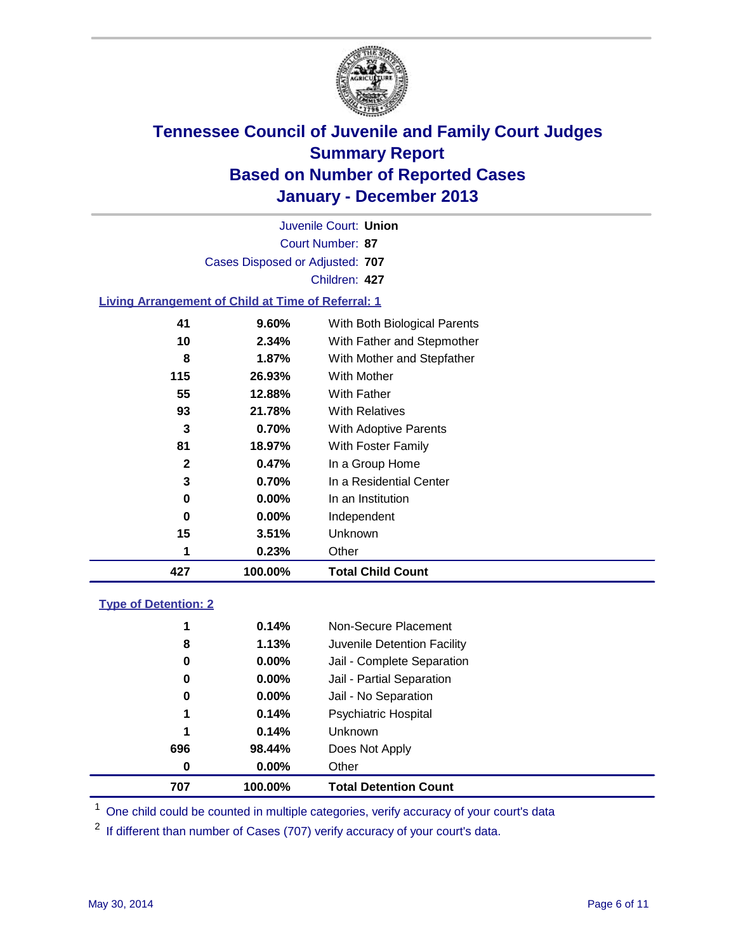

Court Number: **87** Juvenile Court: **Union** Cases Disposed or Adjusted: **707** Children: **427**

### **Living Arrangement of Child at Time of Referral: 1**

| 427 | 100.00%  | <b>Total Child Count</b>     |
|-----|----------|------------------------------|
| 1   | 0.23%    | Other                        |
| 15  | $3.51\%$ | Unknown                      |
| 0   | $0.00\%$ | Independent                  |
| 0   | 0.00%    | In an Institution            |
| 3   | 0.70%    | In a Residential Center      |
| 2   | 0.47%    | In a Group Home              |
| 81  | 18.97%   | With Foster Family           |
| 3   | 0.70%    | <b>With Adoptive Parents</b> |
| 93  | 21.78%   | <b>With Relatives</b>        |
| 55  | 12.88%   | With Father                  |
| 115 | 26.93%   | With Mother                  |
| 8   | 1.87%    | With Mother and Stepfather   |
| 10  | $2.34\%$ | With Father and Stepmother   |
| 41  | 9.60%    | With Both Biological Parents |
|     |          |                              |

### **Type of Detention: 2**

| 707 | 100.00%    |                | <b>Total Detention Count</b> |
|-----|------------|----------------|------------------------------|
|     | 0.00%<br>0 | Other          |                              |
| 696 | 98.44%     | Does Not Apply |                              |
|     | 0.14%<br>1 | <b>Unknown</b> |                              |
|     | 0.14%<br>1 |                | <b>Psychiatric Hospital</b>  |
|     | 0.00%<br>0 |                | Jail - No Separation         |
|     | 0<br>0.00% |                | Jail - Partial Separation    |
|     | 0.00%<br>0 |                | Jail - Complete Separation   |
|     | 1.13%<br>8 |                | Juvenile Detention Facility  |
|     | 0.14%<br>1 |                | Non-Secure Placement         |
|     |            |                |                              |

<sup>1</sup> One child could be counted in multiple categories, verify accuracy of your court's data

<sup>2</sup> If different than number of Cases (707) verify accuracy of your court's data.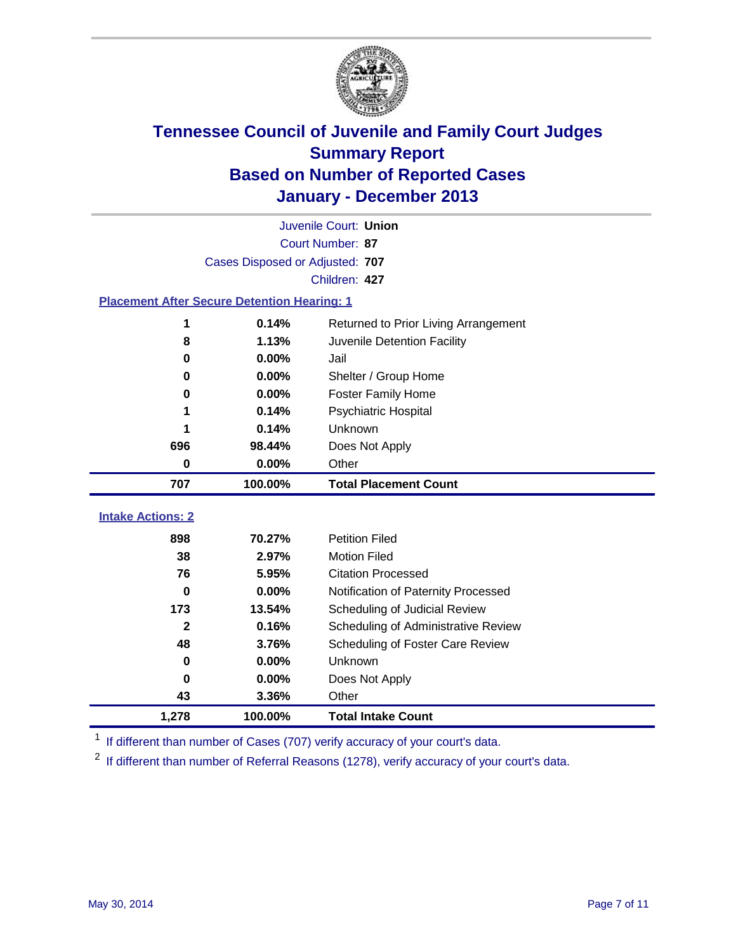

|                                                                 |                                      | Juvenile Court: Union                |  |  |
|-----------------------------------------------------------------|--------------------------------------|--------------------------------------|--|--|
|                                                                 |                                      | Court Number: 87                     |  |  |
|                                                                 | Cases Disposed or Adjusted: 707      |                                      |  |  |
|                                                                 |                                      | Children: 427                        |  |  |
| <b>Placement After Secure Detention Hearing: 1</b>              |                                      |                                      |  |  |
| 1                                                               | 0.14%                                | Returned to Prior Living Arrangement |  |  |
| 8                                                               | 1.13%<br>Juvenile Detention Facility |                                      |  |  |
| 0.00%<br>Jail<br>$\bf{0}$<br>0.00%<br>Shelter / Group Home<br>0 |                                      |                                      |  |  |
|                                                                 |                                      |                                      |  |  |
| 0                                                               | 0.00%                                | <b>Foster Family Home</b>            |  |  |
| 1                                                               | 0.14%                                | <b>Psychiatric Hospital</b>          |  |  |
| 0.14%                                                           |                                      | Unknown                              |  |  |
| 696<br>98.44%                                                   |                                      | Does Not Apply                       |  |  |
| $\bf{0}$<br>0.00%<br>Other                                      |                                      |                                      |  |  |
| 707                                                             | 100.00%                              | <b>Total Placement Count</b>         |  |  |
| <b>Intake Actions: 2</b>                                        |                                      |                                      |  |  |
|                                                                 |                                      |                                      |  |  |
| 898                                                             | 70.27%                               | <b>Petition Filed</b>                |  |  |
| 38                                                              | 2.97%                                | <b>Motion Filed</b>                  |  |  |
| 76                                                              | 5.95%                                | <b>Citation Processed</b>            |  |  |
| 0.00%<br>0                                                      |                                      | Notification of Paternity Processed  |  |  |
| 173<br>13.54%                                                   |                                      | Scheduling of Judicial Review        |  |  |
| $\mathbf{2}$                                                    | 0.16%                                | Scheduling of Administrative Review  |  |  |
| 48                                                              | 3.76%                                | Scheduling of Foster Care Review     |  |  |
| $\bf{0}$                                                        | 0.00%                                | Unknown                              |  |  |
| 0                                                               | 0.00%                                | Does Not Apply                       |  |  |
| 43                                                              | 3.36%                                | Other                                |  |  |
| 1,278                                                           | 100.00%                              | <b>Total Intake Count</b>            |  |  |

<sup>1</sup> If different than number of Cases (707) verify accuracy of your court's data.

If different than number of Referral Reasons (1278), verify accuracy of your court's data.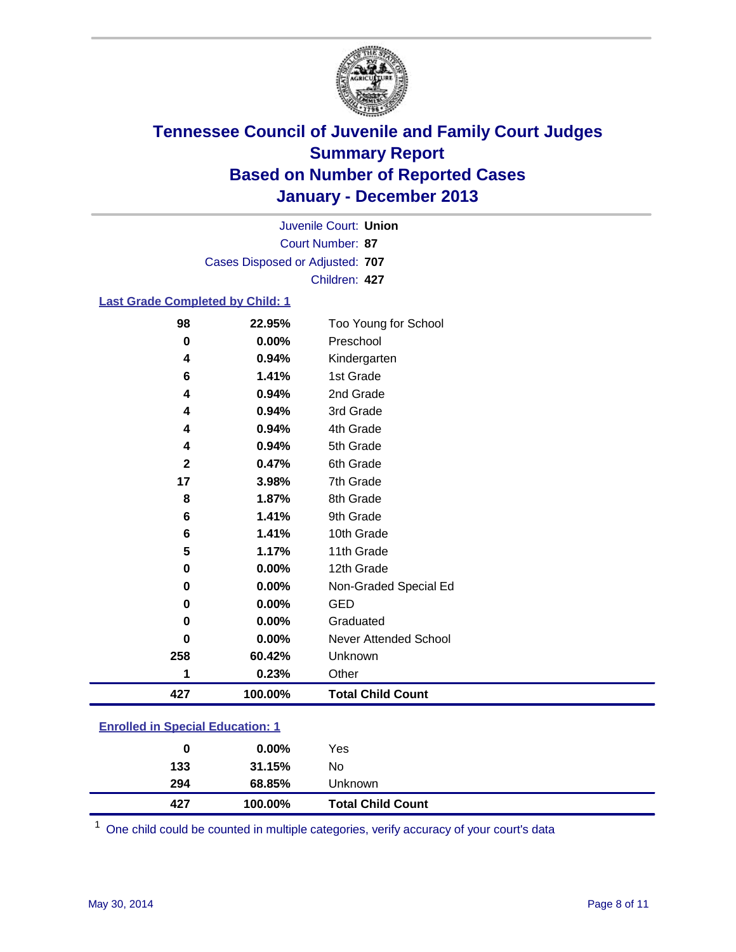

Court Number: **87** Juvenile Court: **Union** Cases Disposed or Adjusted: **707** Children: **427**

#### **Last Grade Completed by Child: 1**

| 427         | 100.00% | <b>Total Child Count</b>     |  |
|-------------|---------|------------------------------|--|
| 1           | 0.23%   | Other                        |  |
| 258         | 60.42%  | Unknown                      |  |
| 0           | 0.00%   | <b>Never Attended School</b> |  |
| 0           | 0.00%   | Graduated                    |  |
| 0           | 0.00%   | <b>GED</b>                   |  |
| $\bf{0}$    | 0.00%   | Non-Graded Special Ed        |  |
| 0           | 0.00%   | 12th Grade                   |  |
| 5           | 1.17%   | 11th Grade                   |  |
| 6           | 1.41%   | 10th Grade                   |  |
| 6           | 1.41%   | 9th Grade                    |  |
| 8           | 1.87%   | 8th Grade                    |  |
| 17          | 3.98%   | 7th Grade                    |  |
| $\mathbf 2$ | 0.47%   | 6th Grade                    |  |
| 4           | 0.94%   | 5th Grade                    |  |
| 4           | 0.94%   | 4th Grade                    |  |
| 4           | 0.94%   | 3rd Grade                    |  |
| 4           | 0.94%   | 2nd Grade                    |  |
| 6           | 1.41%   | 1st Grade                    |  |
| 4           | 0.94%   | Kindergarten                 |  |
| $\mathbf 0$ | 0.00%   | Preschool                    |  |
| 98          | 22.95%  | Too Young for School         |  |

| <b>Enrolled in Special Education: 1</b> |  |
|-----------------------------------------|--|
|-----------------------------------------|--|

One child could be counted in multiple categories, verify accuracy of your court's data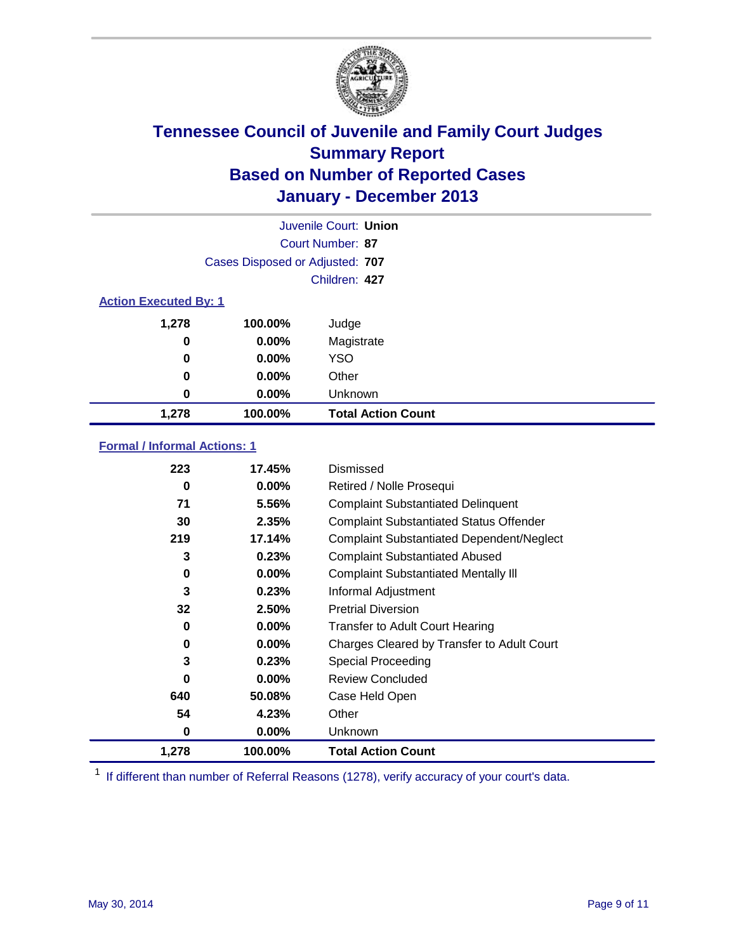

|                              |                                 | Juvenile Court: Union     |
|------------------------------|---------------------------------|---------------------------|
|                              |                                 | Court Number: 87          |
|                              | Cases Disposed or Adjusted: 707 |                           |
|                              |                                 | Children: 427             |
| <b>Action Executed By: 1</b> |                                 |                           |
| 1,278                        | 100.00%                         | Judge                     |
| 0                            | $0.00\%$                        | Magistrate                |
| $\bf{0}$                     | 0.00%                           | <b>YSO</b>                |
| 0                            | 0.00%                           | Other                     |
| 0                            | 0.00%                           | Unknown                   |
| 1,278                        | 100.00%                         | <b>Total Action Count</b> |

### **Formal / Informal Actions: 1**

| 223      | 17.45%   | Dismissed                                        |
|----------|----------|--------------------------------------------------|
| 0        | $0.00\%$ | Retired / Nolle Prosequi                         |
| 71       | 5.56%    | <b>Complaint Substantiated Delinquent</b>        |
| 30       | 2.35%    | <b>Complaint Substantiated Status Offender</b>   |
| 219      | 17.14%   | <b>Complaint Substantiated Dependent/Neglect</b> |
| 3        | 0.23%    | <b>Complaint Substantiated Abused</b>            |
| 0        | $0.00\%$ | <b>Complaint Substantiated Mentally III</b>      |
| 3        | 0.23%    | Informal Adjustment                              |
| 32       | 2.50%    | <b>Pretrial Diversion</b>                        |
| 0        | $0.00\%$ | <b>Transfer to Adult Court Hearing</b>           |
| 0        | $0.00\%$ | Charges Cleared by Transfer to Adult Court       |
| 3        | 0.23%    | Special Proceeding                               |
| $\bf{0}$ | $0.00\%$ | <b>Review Concluded</b>                          |
| 640      | 50.08%   | Case Held Open                                   |
| 54       | 4.23%    | Other                                            |
| 0        | $0.00\%$ | <b>Unknown</b>                                   |
| 1,278    | 100.00%  | <b>Total Action Count</b>                        |

<sup>1</sup> If different than number of Referral Reasons (1278), verify accuracy of your court's data.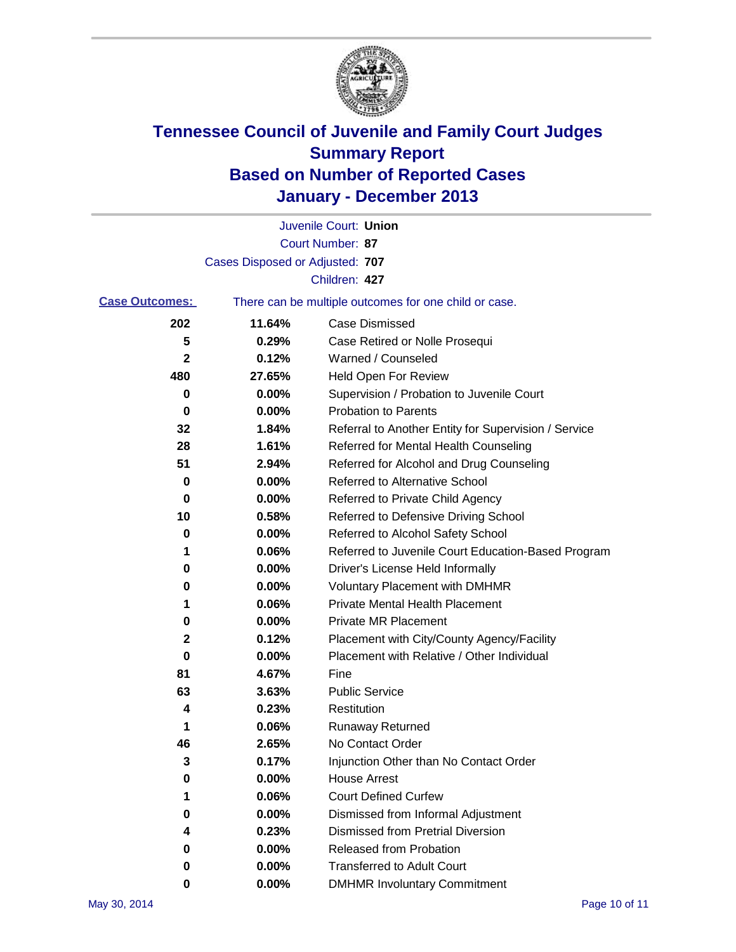

|                       |                                 | Juvenile Court: Union                                 |
|-----------------------|---------------------------------|-------------------------------------------------------|
|                       |                                 | Court Number: 87                                      |
|                       | Cases Disposed or Adjusted: 707 |                                                       |
|                       |                                 | Children: 427                                         |
| <b>Case Outcomes:</b> |                                 | There can be multiple outcomes for one child or case. |
| 202                   | 11.64%                          | Case Dismissed                                        |
| 5                     | 0.29%                           | Case Retired or Nolle Prosequi                        |
| 2                     | 0.12%                           | Warned / Counseled                                    |
| 480                   | 27.65%                          | Held Open For Review                                  |
| 0                     | 0.00%                           | Supervision / Probation to Juvenile Court             |
| 0                     | 0.00%                           | <b>Probation to Parents</b>                           |
| 32                    | 1.84%                           | Referral to Another Entity for Supervision / Service  |
| 28                    | 1.61%                           | Referred for Mental Health Counseling                 |
| 51                    | 2.94%                           | Referred for Alcohol and Drug Counseling              |
| 0                     | 0.00%                           | Referred to Alternative School                        |
| 0                     | 0.00%                           | Referred to Private Child Agency                      |
| 10                    | 0.58%                           | Referred to Defensive Driving School                  |
| 0                     | 0.00%                           | Referred to Alcohol Safety School                     |
| 1                     | 0.06%                           | Referred to Juvenile Court Education-Based Program    |
| 0                     | 0.00%                           | Driver's License Held Informally                      |
| 0                     | 0.00%                           | <b>Voluntary Placement with DMHMR</b>                 |
| 1                     | 0.06%                           | <b>Private Mental Health Placement</b>                |
| 0                     | 0.00%                           | <b>Private MR Placement</b>                           |
| 2                     | 0.12%                           | Placement with City/County Agency/Facility            |
| 0                     | 0.00%                           | Placement with Relative / Other Individual            |
| 81                    | 4.67%                           | Fine                                                  |
| 63                    | 3.63%                           | <b>Public Service</b>                                 |
| 4                     | 0.23%                           | Restitution                                           |
| 1                     | 0.06%                           | <b>Runaway Returned</b>                               |
| 46                    | 2.65%                           | No Contact Order                                      |
| 3                     | 0.17%                           | Injunction Other than No Contact Order                |
| 0                     | 0.00%                           | <b>House Arrest</b>                                   |
| 1                     | 0.06%                           | <b>Court Defined Curfew</b>                           |
| 0                     | 0.00%                           | Dismissed from Informal Adjustment                    |
| 4                     | 0.23%                           | <b>Dismissed from Pretrial Diversion</b>              |
| 0                     | 0.00%                           | Released from Probation                               |
| 0                     | $0.00\%$                        | <b>Transferred to Adult Court</b>                     |
| 0                     | $0.00\%$                        | <b>DMHMR Involuntary Commitment</b>                   |